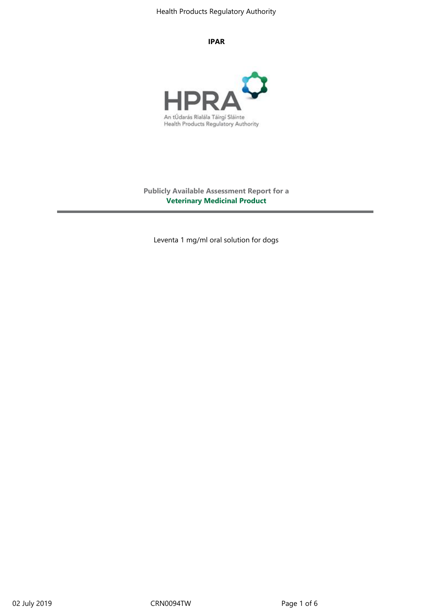#### **IPAR**



**Publicly Available Assessment Report for a Veterinary Medicinal Product**

Leventa 1 mg/ml oral solution for dogs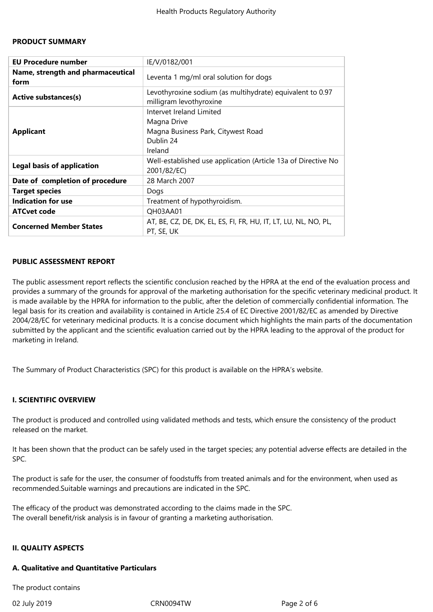#### **PRODUCT SUMMARY**

| <b>EU Procedure number</b>                | IE/V/0182/001                                                                                         |
|-------------------------------------------|-------------------------------------------------------------------------------------------------------|
| Name, strength and pharmaceutical<br>form | Leventa 1 mg/ml oral solution for dogs                                                                |
| <b>Active substances(s)</b>               | Levothyroxine sodium (as multihydrate) equivalent to 0.97<br>milligram levothyroxine                  |
| <b>Applicant</b>                          | Intervet Ireland Limited<br>Magna Drive<br>Magna Business Park, Citywest Road<br>Dublin 24<br>Ireland |
| <b>Legal basis of application</b>         | Well-established use application (Article 13a of Directive No<br>2001/82/EC)                          |
| Date of completion of procedure           | 28 March 2007                                                                                         |
| <b>Target species</b>                     | Dogs                                                                                                  |
| <b>Indication for use</b>                 | Treatment of hypothyroidism.                                                                          |
| <b>ATCvet code</b>                        | QH03AA01                                                                                              |
| <b>Concerned Member States</b>            | AT, BE, CZ, DE, DK, EL, ES, FI, FR, HU, IT, LT, LU, NL, NO, PL,<br>PT, SE, UK                         |

#### **PUBLIC ASSESSMENT REPORT**

The public assessment report reflects the scientific conclusion reached by the HPRA at the end of the evaluation process and provides a summary of the grounds for approval of the marketing authorisation for the specific veterinary medicinal product. It is made available by the HPRA for information to the public, after the deletion of commercially confidential information. The legal basis for its creation and availability is contained in Article 25.4 of EC Directive 2001/82/EC as amended by Directive 2004/28/EC for veterinary medicinal products. It is a concise document which highlights the main parts of the documentation submitted by the applicant and the scientific evaluation carried out by the HPRA leading to the approval of the product for marketing in Ireland.

The Summary of Product Characteristics (SPC) for this product is available on the HPRA's website.

#### **I. SCIENTIFIC OVERVIEW**

The product is produced and controlled using validated methods and tests, which ensure the consistency of the product released on the market.

It has been shown that the product can be safely used in the target species; any potential adverse effects are detailed in the SPC.

The product is safe for the user, the consumer of foodstuffs from treated animals and for the environment, when used as recommended.Suitable warnings and precautions are indicated in the SPC.

The efficacy of the product was demonstrated according to the claims made in the SPC. The overall benefit/risk analysis is in favour of granting a marketing authorisation.

#### **II. QUALITY ASPECTS**

#### **A. Qualitative and Quantitative Particulars**

The product contains

02 July 2019 CRN0094TW Page 2 of 6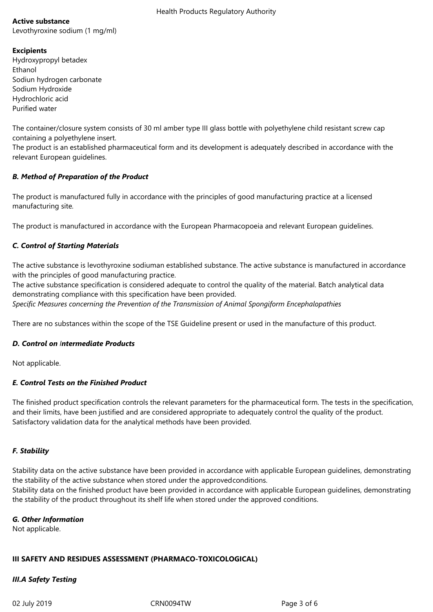# **Active substance**

Levothyroxine sodium (1 mg/ml)

# **Excipients**

Hydroxypropyl betadex Ethanol Sodiun hydrogen carbonate Sodium Hydroxide Hydrochloric acid Purified water

The container/closure system consists of 30 ml amber type III glass bottle with polyethylene child resistant screw cap containing a polyethylene insert.

The product is an established pharmaceutical form and its development is adequately described in accordance with the relevant European guidelines.

# *B. Method of Preparation of the Product*

The product is manufactured fully in accordance with the principles of good manufacturing practice at a licensed manufacturing site*.*

The product is manufactured in accordance with the European Pharmacopoeia and relevant European guidelines.

# *C. Control of Starting Materials*

The active substance is levothyroxine sodiuman established substance. The active substance is manufactured in accordance with the principles of good manufacturing practice.

The active substance specification is considered adequate to control the quality of the material. Batch analytical data demonstrating compliance with this specification have been provided.

*Specific Measures concerning the Prevention of the Transmission of Animal Spongiform Encephalopathies*

There are no substances within the scope of the TSE Guideline present or used in the manufacture of this product.

# *D. Control on Intermediate Products*

Not applicable.

# *E. Control Tests on the Finished Product*

The finished product specification controls the relevant parameters for the pharmaceutical form. The tests in the specification, and their limits, have been justified and are considered appropriate to adequately control the quality of the product. Satisfactory validation data for the analytical methods have been provided.

# *F. Stability*

Stability data on the active substance have been provided in accordance with applicable European guidelines, demonstrating the stability of the active substance when stored under the approvedconditions.

Stability data on the finished product have been provided in accordance with applicable European guidelines, demonstrating the stability of the product throughout its shelf life when stored under the approved conditions.

#### *G. Other Information*

Not applicable.

# **III SAFETY AND RESIDUES ASSESSMENT (PHARMACO-TOXICOLOGICAL)**

# *III.A Safety Testing*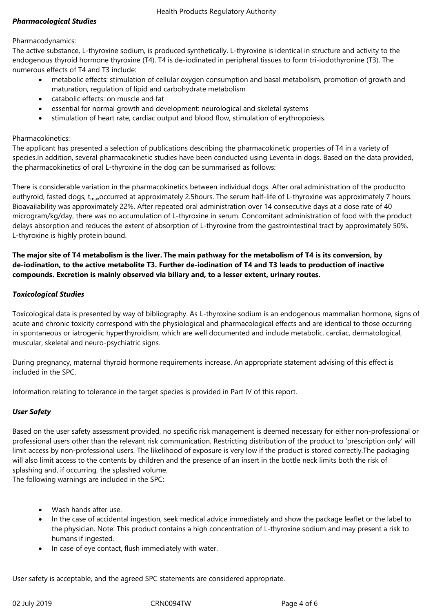# *Pharmacological Studies*

#### Pharmacodynamics:

The active substance, L-thyroxine sodium, is produced synthetically. L-thyroxine is identical in structure and activity to the endogenous thyroid hormone thyroxine (T4). T4 is de-iodinated in peripheral tissues to form tri-iodothyronine (T3). The numerous effects of T4 and T3 include:

- metabolic effects: stimulation of cellular oxygen consumption and basal metabolism, promotion of growth and maturation, regulation of lipid and carbohydrate metabolism
- catabolic effects: on muscle and fat
- essential for normal growth and development: neurological and skeletal systems
- stimulation of heart rate, cardiac output and blood flow, stimulation of erythropoiesis.

### Pharmacokinetics:

The applicant has presented a selection of publications describing the pharmacokinetic properties of T4 in a variety of species.In addition, several pharmacokinetic studies have been conducted using Leventa in dogs. Based on the data provided, the pharmacokinetics of oral L-thyroxine in the dog can be summarised as follows:

There is considerable variation in the pharmacokinetics between individual dogs. After oral administration of the productto euthyroid, fasted dogs,  $t_{\text{max}}$ occurred at approximately 2.5hours. The serum half-life of L-thyroxine was approximately 7 hours. Bioavailability was approximately 22%. After repeated oral administration over 14 consecutive days at a dose rate of 40 microgram/kg/day, there was no accumulation of L-thyroxine in serum. Concomitant administration of food with the product delays absorption and reduces the extent of absorption of L-thyroxine from the gastrointestinal tract by approximately 50%. L-thyroxine is highly protein bound.

**The major site of T4 metabolism is the liver. The main pathway for the metabolism of T4 is its conversion, by de-iodination, to the active metabolite T3. Further de-iodination of T4 and T3 leads to production of inactive compounds. Excretion is mainly observed via biliary and, to a lesser extent, urinary routes.**

# *Toxicological Studies*

Toxicological data is presented by way of bibliography. As L-thyroxine sodium is an endogenous mammalian hormone, signs of acute and chronic toxicity correspond with the physiological and pharmacological effects and are identical to those occurring in spontaneous or iatrogenic hyperthyroidism, which are well documented and include metabolic, cardiac, dermatological, muscular, skeletal and neuro-psychiatric signs.

During pregnancy, maternal thyroid hormone requirements increase. An appropriate statement advising of this effect is included in the SPC.

Information relating to tolerance in the target species is provided in Part IV of this report.

# *User Safety*

Based on the user safety assessment provided, no specific risk management is deemed necessary for either non-professional or professional users other than the relevant risk communication. Restricting distribution of the product to 'prescription only' will limit access by non-professional users. The likelihood of exposure is very low if the product is stored correctly.The packaging will also limit access to the contents by children and the presence of an insert in the bottle neck limits both the risk of splashing and, if occurring, the splashed volume.

The following warnings are included in the SPC:

- Wash hands after use.
- In the case of accidental ingestion, seek medical advice immediately and show the package leaflet or the label to the physician. Note: This product contains a high concentration of L-thyroxine sodium and may present a risk to humans if ingested.
- In case of eye contact, flush immediately with water.

User safety is acceptable, and the agreed SPC statements are considered appropriate.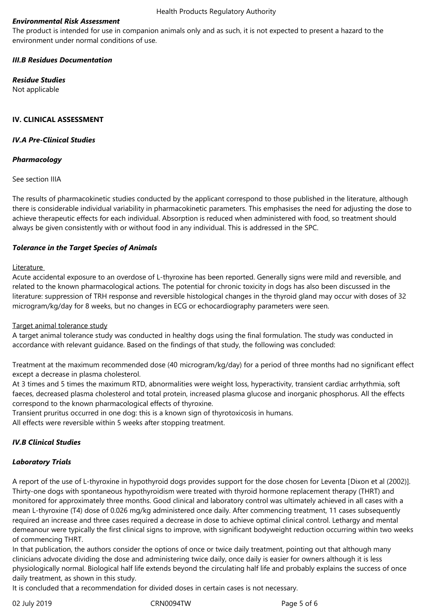#### *Environmental Risk Assessment*

The product is intended for use in companion animals only and as such, it is not expected to present a hazard to the environment under normal conditions of use.

# *III.B Residues Documentation*

*Residue Studies*

Not applicable

### **IV. CLINICAL ASSESSMENT**

#### *IV.A Pre-Clinical Studies*

### *Pharmacology*

See section IIIA

The results of pharmacokinetic studies conducted by the applicant correspond to those published in the literature, although there is considerable individual variability in pharmacokinetic parameters. This emphasises the need for adjusting the dose to achieve therapeutic effects for each individual. Absorption is reduced when administered with food, so treatment should always be given consistently with or without food in any individual. This is addressed in the SPC.

# *Tolerance in the Target Species of Animals*

#### Literature

Acute accidental exposure to an overdose of L-thyroxine has been reported. Generally signs were mild and reversible, and related to the known pharmacological actions. The potential for chronic toxicity in dogs has also been discussed in the literature: suppression of TRH response and reversible histological changes in the thyroid gland may occur with doses of 32 microgram/kg/day for 8 weeks, but no changes in ECG or echocardiography parameters were seen.

#### Target animal tolerance study

A target animal tolerance study was conducted in healthy dogs using the final formulation. The study was conducted in accordance with relevant guidance. Based on the findings of that study, the following was concluded:

Treatment at the maximum recommended dose (40 microgram/kg/day) for a period of three months had no significant effect except a decrease in plasma cholesterol.

At 3 times and 5 times the maximum RTD, abnormalities were weight loss, hyperactivity, transient cardiac arrhythmia, soft faeces, decreased plasma cholesterol and total protein, increased plasma glucose and inorganic phosphorus. All the effects correspond to the known pharmacological effects of thyroxine.

Transient pruritus occurred in one dog: this is a known sign of thyrotoxicosis in humans.

All effects were reversible within 5 weeks after stopping treatment.

# *IV.B Clinical Studies*

# *Laboratory Trials*

A report of the use of L-thyroxine in hypothyroid dogs provides support for the dose chosen for Leventa [Dixon et al (2002)]. Thirty-one dogs with spontaneous hypothyroidism were treated with thyroid hormone replacement therapy (THRT) and monitored for approximately three months. Good clinical and laboratory control was ultimately achieved in all cases with a mean L-thyroxine (T4) dose of 0.026 mg/kg administered once daily. After commencing treatment, 11 cases subsequently required an increase and three cases required a decrease in dose to achieve optimal clinical control. Lethargy and mental demeanour were typically the first clinical signs to improve, with significant bodyweight reduction occurring within two weeks of commencing THRT.

In that publication, the authors consider the options of once or twice daily treatment, pointing out that although many clinicians advocate dividing the dose and administering twice daily, once daily is easier for owners although it is less physiologically normal. Biological half life extends beyond the circulating half life and probably explains the success of once daily treatment, as shown in this study.

It is concluded that a recommendation for divided doses in certain cases is not necessary.

02 July 2019 CRN0094TW Page 5 of 6